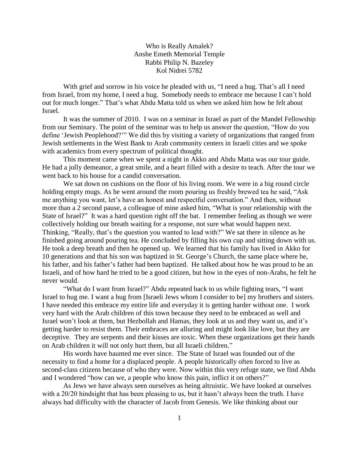Who is Really Amalek? Anshe Emeth Memorial Temple Rabbi Philip N. Bazeley Kol Nidrei 5782

With grief and sorrow in his voice he pleaded with us, "I need a hug. That's all I need from Israel, from my home, I need a hug. Somebody needs to embrace me because I can't hold out for much longer." That's what Abdu Matta told us when we asked him how he felt about Israel.

It was the summer of 2010. I was on a seminar in Israel as part of the Mandel Fellowship from our Seminary. The point of the seminar was to help us answer the question, "How do you define 'Jewish Peoplehood?'" We did this by visiting a variety of organizations that ranged from Jewish settlements in the West Bank to Arab community centers in Israeli cities and we spoke with academics from every spectrum of political thought.

This moment came when we spent a night in Akko and Abdu Matta was our tour guide. He had a jolly demeanor, a great smile, and a heart filled with a desire to teach. After the tour we went back to his house for a candid conversation.

We sat down on cushions on the floor of his living room. We were in a big round circle holding empty mugs. As he went around the room pouring us freshly brewed tea he said, "Ask me anything you want, let's have an honest and respectful conversation." And then, without more than a 2 second pause, a colleague of mine asked him, "What is your relationship with the State of Israel?" It was a hard question right off the bat. I remember feeling as though we were collectively holding our breath waiting for a response, not sure what would happen next. Thinking, "Really, that's the question you wanted to lead with?" We sat there in silence as he finished going around pouring tea. He concluded by filling his own cup and sitting down with us. He took a deep breath and then he opened up. We learned that his family has lived in Akko for 10 generations and that his son was baptized in St. George's Church, the same place where he, his father, and his father's father had been baptized. He talked about how he was proud to be an Israeli, and of how hard he tried to be a good citizen, but how in the eyes of non-Arabs, he felt he never would.

"What do I want from Israel?" Abdu repeated back to us while fighting tears, "I want Israel to hug me. I want a hug from [Israeli Jews whom I consider to be] my brothers and sisters. I have needed this embrace my entire life and everyday it is getting harder without one. I work very hard with the Arab children of this town because they need to be embraced as well and Israel won't look at them, but Hezbollah and Hamas, they look at us and they want us, and it's getting harder to resist them. Their embraces are alluring and might look like love, but they are deceptive. They are serpents and their kisses are toxic. When these organizations get their hands on Arab children it will not only hurt them, but all Israeli children."

His words have haunted me ever since. The State of Israel was founded out of the necessity to find a home for a displaced people. A people historically often forced to live as second-class citizens because of who they were. Now within this very refuge state, we find Abdu and I wondered "how can we, a people who know this pain, inflict it on others?"

As Jews we have always seen ourselves as being altruistic. We have looked at ourselves with a 20/20 hindsight that has been pleasing to us, but it hasn't always been the truth. I have always had difficulty with the character of Jacob from Genesis. We like thinking about our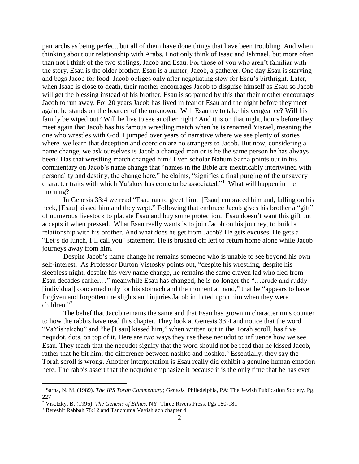patriarchs as being perfect, but all of them have done things that have been troubling. And when thinking about our relationship with Arabs, I not only think of Isaac and Ishmael, but more often than not I think of the two siblings, Jacob and Esau. For those of you who aren't familiar with the story, Esau is the older brother. Esau is a hunter; Jacob, a gatherer. One day Esau is starving and begs Jacob for food. Jacob obliges only after negotiating stew for Esau's birthright. Later, when Isaac is close to death, their mother encourages Jacob to disguise himself as Esau so Jacob will get the blessing instead of his brother. Esau is so pained by this that their mother encourages Jacob to run away. For 20 years Jacob has lived in fear of Esau and the night before they meet again, he stands on the boarder of the unknown. Will Esau try to take his vengeance? Will his family be wiped out? Will he live to see another night? And it is on that night, hours before they meet again that Jacob has his famous wrestling match when he is renamed Yisrael, meaning the one who wrestles with God. I jumped over years of narrative where we see plenty of stories where we learn that deception and coercion are no strangers to Jacob. But now, considering a name change, we ask ourselves is Jacob a changed man or is he the same person he has always been? Has that wrestling match changed him? Even scholar Nahum Sarna points out in his commentary on Jacob's name change that "names in the Bible are inextricably intertwined with personality and destiny, the change here," he claims, "signifies a final purging of the unsavory character traits with which Ya'akov has come to be associated."<sup>1</sup> What will happen in the morning?

In Genesis 33:4 we read "Esau ran to greet him. [Esau] embraced him and, falling on his neck, [Esau] kissed him and they wept." Following that embrace Jacob gives his brother a "gift" of numerous livestock to placate Esau and buy some protection. Esau doesn't want this gift but accepts it when pressed. What Esau really wants is to join Jacob on his journey, to build a relationship with his brother. And what does he get from Jacob? He gets excuses. He gets a "Let's do lunch, I'll call you" statement. He is brushed off left to return home alone while Jacob journeys away from him.

Despite Jacob's name change he remains someone who is unable to see beyond his own self-interest. As Professor Burton Vistosky points out, "despite his wrestling, despite his sleepless night, despite his very name change, he remains the same craven lad who fled from Esau decades earlier…" meanwhile Esau has changed, he is no longer the "…crude and ruddy [individual] concerned only for his stomach and the moment at hand," that he "appears to have forgiven and forgotten the slights and injuries Jacob inflicted upon him when they were children."<sup>2</sup>

The belief that Jacob remains the same and that Esau has grown in character runs counter to how the rabbis have read this chapter. They look at Genesis 33:4 and notice that the word "VaYishakehu" and "he [Esau] kissed him," when written out in the Torah scroll, has five nequdot, dots, on top of it. Here are two ways they use these nequdot to influence how we see Esau. They teach that the nequdot signify that the word should not be read that he kissed Jacob, rather that he bit him; the difference between nashko and noshko.<sup>3</sup> Essentially, they say the Torah scroll is wrong. Another interpretation is Esau really did exhibit a genuine human emotion here. The rabbis assert that the nequdot emphasize it because it is the only time that he has ever

 $\overline{a}$ 

<sup>1</sup> Sarna, N. M. (1989). *The JPS Torah Commentary; Genesis.* Philedelphia, PA: The Jewish Publication Society. Pg. 227

<sup>2</sup> Visotzky, B. (1996). *The Genesis of Ethics.* NY: Three Rivers Press. Pgs 180-181

<sup>3</sup> Bereshit Rabbah 78:12 and Tanchuma Vayishlach chapter 4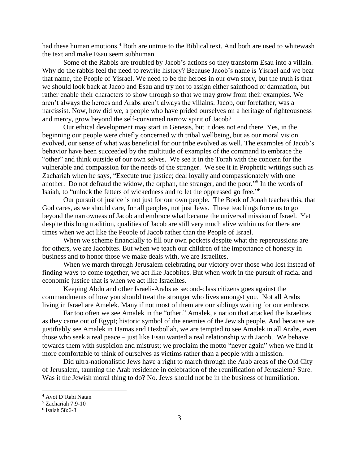had these human emotions.<sup>4</sup> Both are untrue to the Biblical text. And both are used to whitewash the text and make Esau seem subhuman.

Some of the Rabbis are troubled by Jacob's actions so they transform Esau into a villain. Why do the rabbis feel the need to rewrite history? Because Jacob's name is Yisrael and we bear that name, the People of Yisrael. We need to be the heroes in our own story, but the truth is that we should look back at Jacob and Esau and try not to assign either sainthood or damnation, but rather enable their characters to show through so that we may grow from their examples. We aren't always the heroes and Arabs aren't always the villains. Jacob, our forefather, was a narcissist. Now, how did we, a people who have prided ourselves on a heritage of righteousness and mercy, grow beyond the self-consumed narrow spirit of Jacob?

Our ethical development may start in Genesis, but it does not end there. Yes, in the beginning our people were chiefly concerned with tribal wellbeing, but as our moral vision evolved, our sense of what was beneficial for our tribe evolved as well. The examples of Jacob's behavior have been succeeded by the multitude of examples of the command to embrace the "other" and think outside of our own selves. We see it in the Torah with the concern for the vulnerable and compassion for the needs of the stranger. We see it in Prophetic writings such as Zachariah when he says, "Execute true justice; deal loyally and compassionately with one another. Do not defraud the widow, the orphan, the stranger, and the poor."<sup>5</sup> In the words of Isaiah, to "unlock the fetters of wickedness and to let the oppressed go free." 6

Our pursuit of justice is not just for our own people. The Book of Jonah teaches this, that God cares, as we should care, for all peoples, not just Jews. These teachings force us to go beyond the narrowness of Jacob and embrace what became the universal mission of Israel. Yet despite this long tradition, qualities of Jacob are still very much alive within us for there are times when we act like the People of Jacob rather than the People of Israel.

When we scheme financially to fill our own pockets despite what the repercussions are for others, we are Jacobites. But when we teach our children of the importance of honesty in business and to honor those we make deals with, we are Israelites.

When we march through Jerusalem celebrating our victory over those who lost instead of finding ways to come together, we act like Jacobites. But when work in the pursuit of racial and economic justice that is when we act like Israelites.

Keeping Abdu and other Israeli-Arabs as second-class citizens goes against the commandments of how you should treat the stranger who lives amongst you. Not all Arabs living in Israel are Amelek. Many if not most of them are our siblings waiting for our embrace.

Far too often we see Amalek in the "other." Amalek, a nation that attacked the Israelites as they came out of Egypt; historic symbol of the enemies of the Jewish people. And because we justifiably see Amalek in Hamas and Hezbollah, we are tempted to see Amalek in all Arabs, even those who seek a real peace – just like Esau wanted a real relationship with Jacob. We behave towards them with suspicion and mistrust; we proclaim the motto "never again" when we find it more comfortable to think of ourselves as victims rather than a people with a mission.

Did ultra-nationalistic Jews have a right to march through the Arab areas of the Old City of Jerusalem, taunting the Arab residence in celebration of the reunification of Jerusalem? Sure. Was it the Jewish moral thing to do? No. Jews should not be in the business of humiliation.

 $\overline{a}$ 

<sup>4</sup> Avot D'Rabi Natan

<sup>5</sup> Zachariah 7:9-10

<sup>6</sup> Isaiah 58:6-8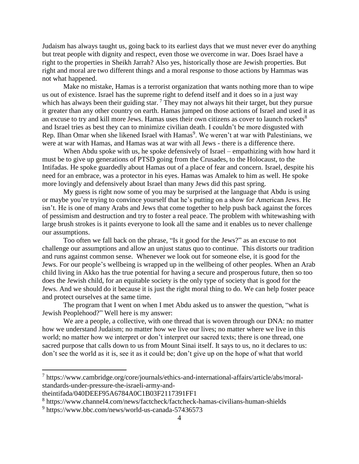Judaism has always taught us, going back to its earliest days that we must never ever do anything but treat people with dignity and respect, even those we overcome in war. Does Israel have a right to the properties in Sheikh Jarrah? Also yes, historically those are Jewish properties. But right and moral are two different things and a moral response to those actions by Hammas was not what happened.

Make no mistake, Hamas is a terrorist organization that wants nothing more than to wipe us out of existence. Israel has the supreme right to defend itself and it does so in a just way which has always been their guiding star.<sup>7</sup> They may not always hit their target, but they pursue it greater than any other country on earth. Hamas jumped on those actions of Israel and used it as an excuse to try and kill more Jews. Hamas uses their own citizens as cover to launch rockets<sup>8</sup> and Israel tries as best they can to minimize civilian death. I couldn't be more disgusted with Rep. Ilhan Omar when she likened Israel with Hamas<sup>9</sup>. We weren't at war with Palestinians, we were at war with Hamas, and Hamas was at war with all Jews - there is a difference there.

When Abdu spoke with us, he spoke defensively of Israel – empathizing with how hard it must be to give up generations of PTSD going from the Crusades, to the Holocaust, to the Intifadas. He spoke guardedly about Hamas out of a place of fear and concern. Israel, despite his need for an embrace, was a protector in his eyes. Hamas was Amalek to him as well. He spoke more lovingly and defensively about Israel than many Jews did this past spring.

My guess is right now some of you may be surprised at the language that Abdu is using or maybe you're trying to convince yourself that he's putting on a show for American Jews. He isn't. He is one of many Arabs and Jews that come together to help push back against the forces of pessimism and destruction and try to foster a real peace. The problem with whitewashing with large brush strokes is it paints everyone to look all the same and it enables us to never challenge our assumptions.

Too often we fall back on the phrase, "Is it good for the Jews?" as an excuse to not challenge our assumptions and allow an unjust status quo to continue. This distorts our tradition and runs against common sense. Whenever we look out for someone else, it is good for the Jews. For our people's wellbeing is wrapped up in the wellbeing of other peoples. When an Arab child living in Akko has the true potential for having a secure and prosperous future, then so too does the Jewish child, for an equitable society is the only type of society that is good for the Jews. And we should do it because it is just the right moral thing to do. We can help foster peace and protect ourselves at the same time.

The program that I went on when I met Abdu asked us to answer the question, "what is Jewish Peoplehood?" Well here is my answer:

We are a people, a collective, with one thread that is woven through our DNA: no matter how we understand Judaism; no matter how we live our lives; no matter where we live in this world; no matter how we interpret or don't interpret our sacred texts; there is one thread, one sacred purpose that calls down to us from Mount Sinai itself. It says to us, no it declares to us: don't see the world as it is, see it as it could be; don't give up on the hope of what that world

 $\overline{a}$ 

<sup>7</sup> https://www.cambridge.org/core/journals/ethics-and-international-affairs/article/abs/moralstandards-under-pressure-the-israeli-army-and-

theintifada/040DEEF95A6784A0C1B03F2117391FF1

<sup>8</sup> https://www.channel4.com/news/factcheck/factcheck-hamas-civilians-human-shields

<sup>&</sup>lt;sup>9</sup> https://www.bbc.com/news/world-us-canada-57436573